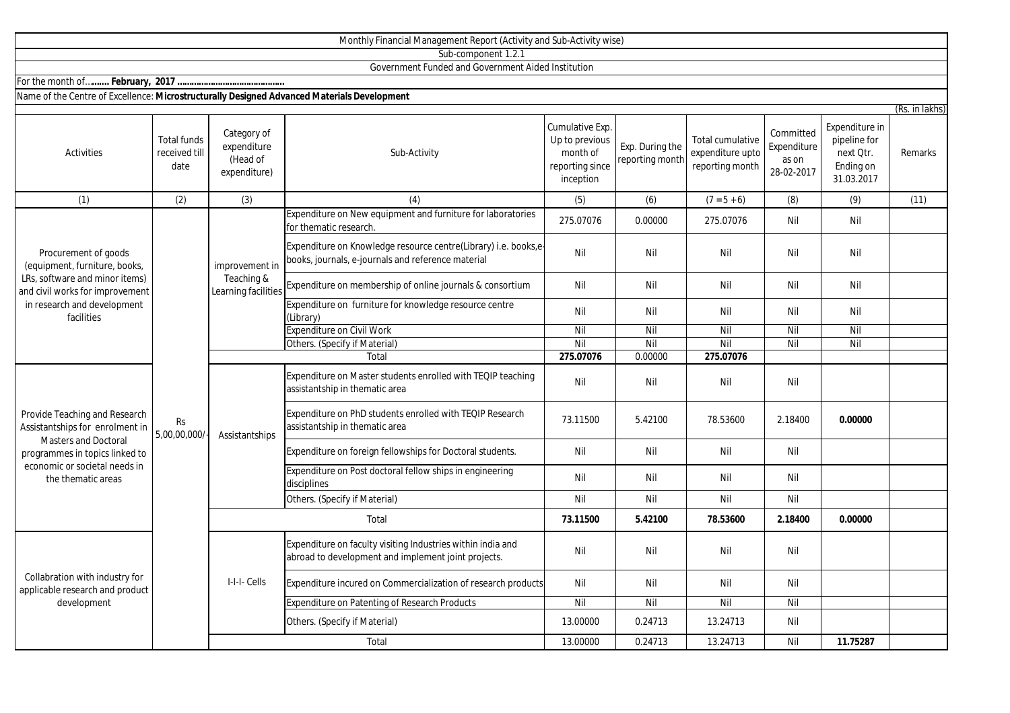|                                                                                                                                                                                   |                                             |                                                        | Sub-component 1.2.1                                                                                                   |                                                                               |                                    |                                                         |                                                 |                                                                        |                           |
|-----------------------------------------------------------------------------------------------------------------------------------------------------------------------------------|---------------------------------------------|--------------------------------------------------------|-----------------------------------------------------------------------------------------------------------------------|-------------------------------------------------------------------------------|------------------------------------|---------------------------------------------------------|-------------------------------------------------|------------------------------------------------------------------------|---------------------------|
|                                                                                                                                                                                   |                                             |                                                        | Government Funded and Government Aided Institution                                                                    |                                                                               |                                    |                                                         |                                                 |                                                                        |                           |
|                                                                                                                                                                                   |                                             |                                                        |                                                                                                                       |                                                                               |                                    |                                                         |                                                 |                                                                        |                           |
| Name of the Centre of Excellence: Microstructurally Designed Advanced Materials Development                                                                                       |                                             |                                                        |                                                                                                                       |                                                                               |                                    |                                                         |                                                 |                                                                        |                           |
| Activities                                                                                                                                                                        | <b>Total funds</b><br>received till<br>date | Category of<br>expenditure<br>(Head of<br>expenditure) | Sub-Activity                                                                                                          | Cumulative Exp.<br>Up to previous<br>month of<br>reporting since<br>inception | Exp. During the<br>reporting month | Total cumulative<br>expenditure upto<br>reporting month | Committed<br>Expenditure<br>as on<br>28-02-2017 | Expenditure in<br>pipeline for<br>next Qtr.<br>Ending on<br>31.03.2017 | (Rs. in lakhs)<br>Remarks |
| (1)                                                                                                                                                                               | (2)                                         | (3)                                                    | (4)                                                                                                                   | (5)                                                                           | (6)                                | $(7 = 5 + 6)$                                           | (8)                                             | (9)                                                                    | (11)                      |
| Procurement of goods<br>(equipment, furniture, books,<br>LRs, software and minor items)<br>and civil works for improvement<br>in research and development<br>facilities           | <b>Rs</b><br>5,00,00,000/                   | improvement in<br>Teaching &<br>Learning facilities    | Expenditure on New equipment and furniture for laboratories<br>for thematic research.                                 | 275.07076                                                                     | 0.00000                            | 275.07076                                               | Nil                                             | Nil                                                                    |                           |
|                                                                                                                                                                                   |                                             |                                                        | Expenditure on Knowledge resource centre(Library) i.e. books,e-<br>books, journals, e-journals and reference material | Nil                                                                           | Nil                                | Nil                                                     | Nil                                             | Nil                                                                    |                           |
|                                                                                                                                                                                   |                                             |                                                        | Expenditure on membership of online journals & consortium                                                             | Nil                                                                           | Nil                                | Nil                                                     | Nil                                             | Nil                                                                    |                           |
|                                                                                                                                                                                   |                                             |                                                        | Expenditure on furniture for knowledge resource centre<br>(Library)                                                   | Nil                                                                           | Nil                                | Nil                                                     | Nil                                             | Nil                                                                    |                           |
|                                                                                                                                                                                   |                                             |                                                        | <b>Expenditure on Civil Work</b>                                                                                      | Nil                                                                           | Nil                                | Nil                                                     | Nil                                             | Nil                                                                    |                           |
|                                                                                                                                                                                   |                                             |                                                        | Others. (Specify if Material)                                                                                         | Nil                                                                           | Nil                                | Nil                                                     | Nil                                             | Nil                                                                    |                           |
|                                                                                                                                                                                   |                                             |                                                        | Total                                                                                                                 | 275.07076                                                                     | 0.00000                            | 275.07076                                               |                                                 |                                                                        |                           |
| Provide Teaching and Research<br>Assistantships for enrolment in<br>Masters and Doctoral<br>programmes in topics linked to<br>economic or societal needs in<br>the thematic areas |                                             | Assistantships                                         | Expenditure on Master students enrolled with TEQIP teaching<br>assistantship in thematic area                         | Nil                                                                           | Nil                                | Nil                                                     | Nil                                             |                                                                        |                           |
|                                                                                                                                                                                   |                                             |                                                        | Expenditure on PhD students enrolled with TEQIP Research<br>assistantship in thematic area                            | 73.11500                                                                      | 5.42100                            | 78.53600                                                | 2.18400                                         | 0.00000                                                                |                           |
|                                                                                                                                                                                   |                                             |                                                        | Expenditure on foreign fellowships for Doctoral students.                                                             | Nil                                                                           | Nil                                | Nil                                                     | Nil                                             |                                                                        |                           |
|                                                                                                                                                                                   |                                             |                                                        | Expenditure on Post doctoral fellow ships in engineering<br>disciplines                                               | Nil                                                                           | Nil                                | Nil                                                     | Nil                                             |                                                                        |                           |
|                                                                                                                                                                                   |                                             |                                                        | Others. (Specify if Material)                                                                                         | Nil                                                                           | Nil                                | Nil                                                     | Nil                                             |                                                                        |                           |
|                                                                                                                                                                                   |                                             | Total                                                  |                                                                                                                       | 73.11500                                                                      | 5.42100                            | 78.53600                                                | 2.18400                                         | 0.00000                                                                |                           |
| Collabration with industry for<br>applicable research and product<br>development                                                                                                  |                                             | I-I-I-Cells                                            | Expenditure on faculty visiting Industries within india and<br>abroad to development and implement joint projects.    | Nil                                                                           | Nil                                | Nil                                                     | Nil                                             |                                                                        |                           |
|                                                                                                                                                                                   |                                             |                                                        | Expenditure incured on Commercialization of research products                                                         | Nil                                                                           | Nil                                | Nil                                                     | Nil                                             |                                                                        |                           |
|                                                                                                                                                                                   |                                             |                                                        | <b>Expenditure on Patenting of Research Products</b>                                                                  | Nil                                                                           | Nil                                | Nil                                                     | Nil                                             |                                                                        |                           |
|                                                                                                                                                                                   |                                             |                                                        | Others. (Specify if Material)                                                                                         | 13.00000                                                                      | 0.24713                            | 13.24713                                                | Nil                                             |                                                                        |                           |

Total

Monthly Financial Management Report (Activity and Sub-Activity wise)

13.00000 0.24713 13.24713 Nil **11.75287**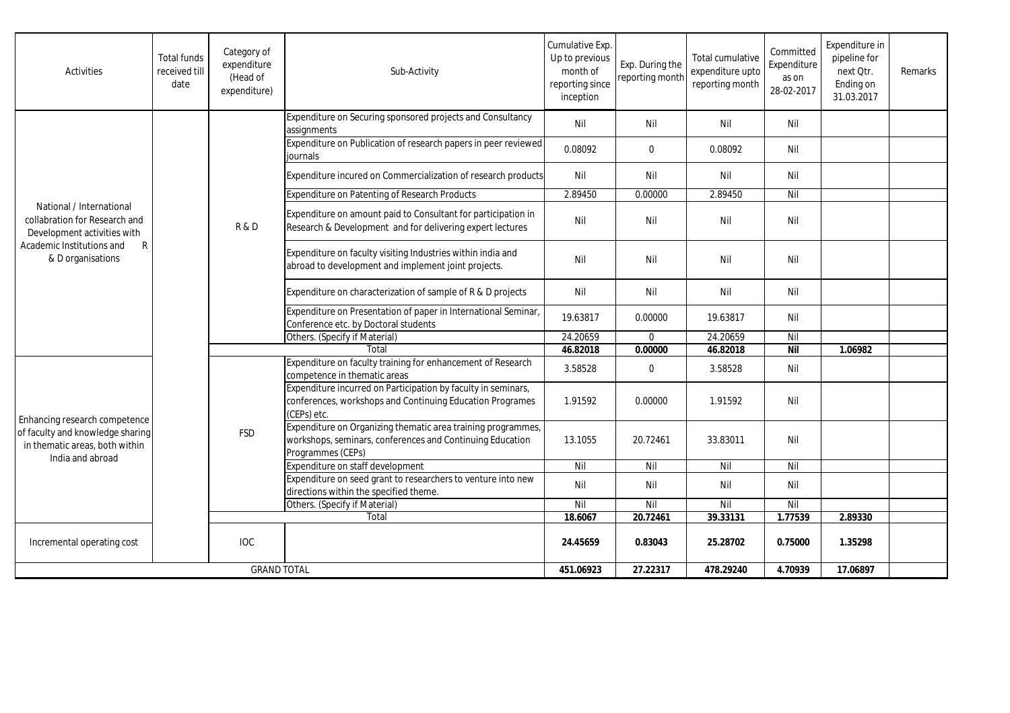| Activities                                                                                                                                                 | <b>Total funds</b><br>received till<br>date | Category of<br>expenditure<br>(Head of<br>expenditure) | Sub-Activity                                                                                                                                   | Cumulative Exp.<br>Up to previous<br>month of<br>reporting since<br>inception | Exp. During the<br>reporting month | Total cumulative<br>expenditure upto<br>reporting month | Committed<br>Expenditure<br>as on<br>28-02-2017 | Expenditure in<br>pipeline for<br>next Otr.<br>Ending on<br>31.03.2017 | Remarks |
|------------------------------------------------------------------------------------------------------------------------------------------------------------|---------------------------------------------|--------------------------------------------------------|------------------------------------------------------------------------------------------------------------------------------------------------|-------------------------------------------------------------------------------|------------------------------------|---------------------------------------------------------|-------------------------------------------------|------------------------------------------------------------------------|---------|
|                                                                                                                                                            |                                             | <b>R&amp;D</b>                                         | Expenditure on Securing sponsored projects and Consultancy<br>assignments                                                                      | Nil                                                                           | Nil                                | Nil                                                     | Nil                                             |                                                                        |         |
|                                                                                                                                                            |                                             |                                                        | Expenditure on Publication of research papers in peer reviewed<br>journals                                                                     | 0.08092                                                                       | $\mathbf 0$                        | 0.08092                                                 | Nil                                             |                                                                        |         |
|                                                                                                                                                            |                                             |                                                        | Expenditure incured on Commercialization of research products                                                                                  | Nil                                                                           | Nil                                | Nil                                                     | Nil                                             |                                                                        |         |
|                                                                                                                                                            |                                             |                                                        | <b>Expenditure on Patenting of Research Products</b>                                                                                           | 2.89450                                                                       | 0.00000                            | 2.89450                                                 | Nil                                             |                                                                        |         |
| National / International<br>collabration for Research and<br>Development activities with<br>$\mathsf{R}$<br>Academic Institutions and<br>& D organisations |                                             |                                                        | Expenditure on amount paid to Consultant for participation in<br>Research & Development and for delivering expert lectures                     | Nil                                                                           | Nil                                | Nil                                                     | Nil                                             |                                                                        |         |
|                                                                                                                                                            |                                             |                                                        | Expenditure on faculty visiting Industries within india and<br>abroad to development and implement joint projects.                             | Nil                                                                           | Nil                                | Nil                                                     | Nil                                             |                                                                        |         |
|                                                                                                                                                            |                                             |                                                        | Expenditure on characterization of sample of R & D projects                                                                                    | Nil                                                                           | Nil                                | Nil                                                     | Nil                                             |                                                                        |         |
|                                                                                                                                                            |                                             |                                                        | Expenditure on Presentation of paper in International Seminar,<br>Conference etc. by Doctoral students                                         | 19.63817                                                                      | 0.00000                            | 19.63817                                                | Nil                                             |                                                                        |         |
|                                                                                                                                                            |                                             |                                                        | Others. (Specify if Material)                                                                                                                  | 24.20659                                                                      | $\mathbf 0$                        | 24.20659                                                | Nil                                             |                                                                        |         |
|                                                                                                                                                            |                                             |                                                        | Total                                                                                                                                          | 46.82018                                                                      | 0.00000                            | 46.82018                                                | <b>Nil</b>                                      | 1.06982                                                                |         |
| Enhancing research competence<br>of faculty and knowledge sharing<br>in thematic areas, both within<br>India and abroad                                    |                                             | <b>FSD</b>                                             | Expenditure on faculty training for enhancement of Research<br>competence in thematic areas                                                    | 3.58528                                                                       | $\mathbf 0$                        | 3.58528                                                 | Nil                                             |                                                                        |         |
|                                                                                                                                                            |                                             |                                                        | Expenditure incurred on Participation by faculty in seminars,<br>conferences, workshops and Continuing Education Programes<br>(CEPs) etc.      | 1.91592                                                                       | 0.00000                            | 1.91592                                                 | Nil                                             |                                                                        |         |
|                                                                                                                                                            |                                             |                                                        | Expenditure on Organizing thematic area training programmes,<br>workshops, seminars, conferences and Continuing Education<br>Programmes (CEPs) | 13.1055                                                                       | 20.72461                           | 33.83011                                                | Nil                                             |                                                                        |         |
|                                                                                                                                                            |                                             |                                                        | Expenditure on staff development                                                                                                               | Nil                                                                           | Nil                                | Nil                                                     | Nil                                             |                                                                        |         |
|                                                                                                                                                            |                                             |                                                        | Expenditure on seed grant to researchers to venture into new<br>directions within the specified theme.                                         | Nil                                                                           | Nil                                | Nil                                                     | Nil                                             |                                                                        |         |
|                                                                                                                                                            |                                             |                                                        | Others. (Specify if Material)                                                                                                                  | Nil                                                                           | Nil                                | Nil                                                     | Nil                                             |                                                                        |         |
|                                                                                                                                                            |                                             | Total                                                  |                                                                                                                                                | 18.6067                                                                       | 20.72461                           | 39.33131                                                | 1.77539                                         | 2.89330                                                                |         |
| Incremental operating cost                                                                                                                                 |                                             | <b>IOC</b>                                             |                                                                                                                                                | 24.45659                                                                      | 0.83043                            | 25.28702                                                | 0.75000                                         | 1.35298                                                                |         |
| <b>GRAND TOTAL</b>                                                                                                                                         |                                             |                                                        | 451.06923                                                                                                                                      | 27.22317                                                                      | 478.29240                          | 4.70939                                                 | 17.06897                                        |                                                                        |         |